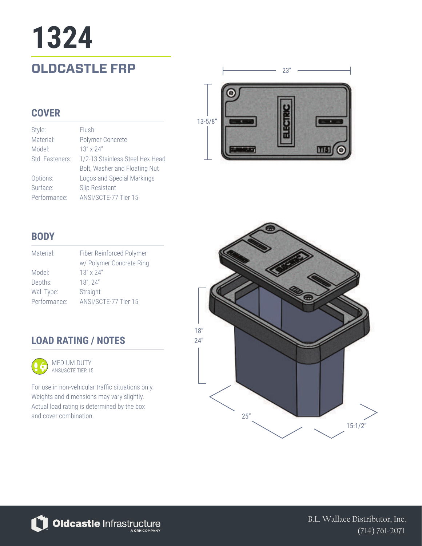# **OLDCASTLE FRP**  $\qquad \qquad \qquad$  23" **1324**

### **COVER**

| Style:          | Flush                           |
|-----------------|---------------------------------|
| Material:       | Polymer Concrete                |
| Model:          | $13'' \times 24''$              |
| Std. Fasteners: | 1/2-13 Stainless Steel Hex Head |
|                 | Bolt, Washer and Floating Nut   |
| Options:        | Logos and Special Markings      |
| Surface:        | Slip Resistant                  |
| Performance:    | ANSI/SCTE-77 Tier 15            |



## **BODY**

| Material:    | Fiber Reinforced Polymer |
|--------------|--------------------------|
|              | w/ Polymer Concrete Ring |
| Model:       | $13'' \times 24''$       |
| Depths:      | 18", 24"                 |
| Wall Type:   | Straight                 |
| Performance: | ANSI/SCTE-77 Tier 15     |

## **LOAD RATING / NOTES**



For use in non-vehicular traffic situations only. Weights and dimensions may vary slightly. Actual load rating is determined by the box and cover combination.



Oldcastle Infrastructure

B.L. Wallace Distributor, Inc. (714) 761-2071